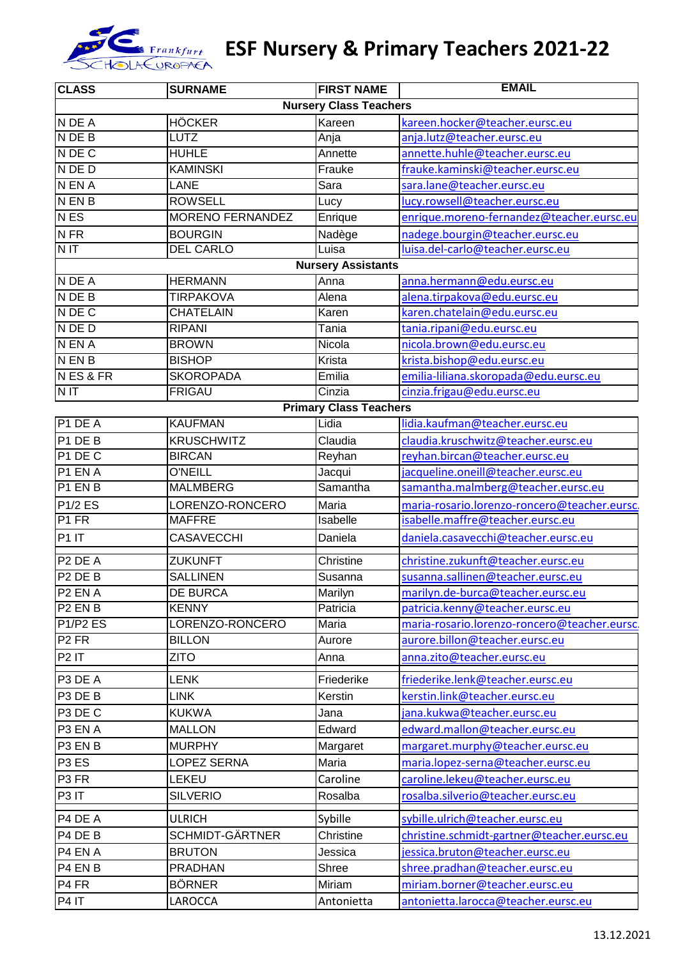

## Es Frankfurt **ESF Nursery & Primary Teachers 2021-22**

| <b>CLASS</b>                      | <b>SURNAME</b>                | <b>FIRST NAME</b>             | <b>EMAIL</b>                                                                  |  |  |
|-----------------------------------|-------------------------------|-------------------------------|-------------------------------------------------------------------------------|--|--|
|                                   | <b>Nursery Class Teachers</b> |                               |                                                                               |  |  |
| N DE A                            | <b>HÖCKER</b>                 | Kareen                        | kareen.hocker@teacher.eursc.eu                                                |  |  |
| N DE B                            | <b>LUTZ</b>                   | Anja                          | anja.lutz@teacher.eursc.eu                                                    |  |  |
| N DE C                            | <b>HUHLE</b>                  | Annette                       | annette.huhle@teacher.eursc.eu                                                |  |  |
| N DE D                            | <b>KAMINSKI</b>               | Frauke                        | frauke.kaminski@teacher.eursc.eu                                              |  |  |
| N EN A                            | <b>LANE</b>                   | Sara                          | sara.lane@teacher.eursc.eu                                                    |  |  |
| <b>N EN B</b>                     | <b>ROWSELL</b>                | Lucy                          | lucy.rowsell@teacher.eursc.eu                                                 |  |  |
| <b>NES</b>                        | <b>MORENO FERNANDEZ</b>       | Enrique                       | enrique.moreno-fernandez@teacher.eursc.eu                                     |  |  |
| N <sub>FR</sub>                   | <b>BOURGIN</b>                | Nadège                        | nadege.bourgin@teacher.eursc.eu                                               |  |  |
| N <sub>IT</sub>                   | <b>DEL CARLO</b>              | Luisa                         | luisa.del-carlo@teacher.eursc.eu                                              |  |  |
| <b>Nursery Assistants</b>         |                               |                               |                                                                               |  |  |
| N DE A                            | <b>HERMANN</b>                | Anna                          | anna.hermann@edu.eursc.eu                                                     |  |  |
| N DE B                            | <b>TIRPAKOVA</b>              | Alena                         | alena.tirpakova@edu.eursc.eu                                                  |  |  |
| N DE C                            | <b>CHATELAIN</b>              | Karen                         | karen.chatelain@edu.eursc.eu                                                  |  |  |
| N DE D                            | <b>RIPANI</b>                 | Tania                         | tania.ripani@edu.eursc.eu                                                     |  |  |
| N EN A                            | <b>BROWN</b>                  | Nicola                        | nicola.brown@edu.eursc.eu                                                     |  |  |
| N EN B                            | <b>BISHOP</b>                 | Krista                        | krista.bishop@edu.eursc.eu                                                    |  |  |
| NES&FR                            | <b>SKOROPADA</b>              | Emilia                        | emilia-liliana.skoropada@edu.eursc.eu                                         |  |  |
| NIT                               | <b>FRIGAU</b>                 | Cinzia                        | cinzia.frigau@edu.eursc.eu                                                    |  |  |
|                                   |                               | <b>Primary Class Teachers</b> |                                                                               |  |  |
| P1 DE A                           | <b>KAUFMAN</b>                | Lidia                         | lidia.kaufman@teacher.eursc.eu                                                |  |  |
| P1 DE B                           | <b>KRUSCHWITZ</b>             | Claudia                       | claudia.kruschwitz@teacher.eursc.eu                                           |  |  |
| P1 DE C                           | <b>BIRCAN</b>                 | Reyhan                        | reyhan.bircan@teacher.eursc.eu                                                |  |  |
| P1 EN A                           | <b>O'NEILL</b>                | Jacqui                        | jacqueline.oneill@teacher.eursc.eu                                            |  |  |
| P1 EN B                           | <b>MALMBERG</b>               | Samantha                      | samantha.malmberg@teacher.eursc.eu                                            |  |  |
| <b>P1/2 ES</b>                    | LORENZO-RONCERO               | Maria                         | maria-rosario.lorenzo-roncero@teacher.eursc.                                  |  |  |
| P1 FR                             | <b>MAFFRE</b>                 | Isabelle                      | isabelle.maffre@teacher.eursc.eu                                              |  |  |
| P <sub>1</sub> IT                 | CASAVECCHI                    | Daniela                       | daniela.casavecchi@teacher.eursc.eu                                           |  |  |
| P <sub>2</sub> DE A               | <b>ZUKUNFT</b>                | Christine                     | christine.zukunft@teacher.eursc.eu                                            |  |  |
| P <sub>2</sub> DE <sub>B</sub>    | <b>SALLINEN</b>               | Susanna                       | susanna.sallinen@teacher.eursc.eu                                             |  |  |
| P <sub>2</sub> EN A               | DE BURCA                      | Marilyn                       | marilyn.de-burca@teacher.eursc.eu                                             |  |  |
| P <sub>2</sub> EN <sub>B</sub>    | <b>KENNY</b>                  | Patricia                      | patricia.kenny@teacher.eursc.eu                                               |  |  |
| P <sub>1</sub> /P <sub>2</sub> ES | LORENZO-RONCERO               | Maria                         | maria-rosario.lorenzo-roncero@teacher.eursc.                                  |  |  |
| P <sub>2</sub> FR                 | <b>BILLON</b>                 | Aurore                        | aurore.billon@teacher.eursc.eu                                                |  |  |
| P <sub>2</sub> IT                 | <b>ZITO</b>                   | Anna                          | anna.zito@teacher.eursc.eu                                                    |  |  |
| P3 DE A                           | <b>LENK</b>                   | Friederike                    | friederike.lenk@teacher.eursc.eu                                              |  |  |
| P3 DE B                           | <b>LINK</b>                   | Kerstin                       | kerstin.link@teacher.eursc.eu                                                 |  |  |
| P3 DE C                           | <b>KUKWA</b>                  | Jana                          | jana.kukwa@teacher.eursc.eu                                                   |  |  |
| P3 EN A                           | <b>MALLON</b>                 | Edward                        | edward.mallon@teacher.eursc.eu                                                |  |  |
| P3 EN B                           | <b>MURPHY</b>                 | Margaret                      | margaret.murphy@teacher.eursc.eu                                              |  |  |
| P <sub>3</sub> E <sub>S</sub>     | LOPEZ SERNA                   | Maria                         | maria.lopez-serna@teacher.eursc.eu                                            |  |  |
| P <sub>3</sub> FR                 | LEKEU                         | Caroline                      | caroline.lekeu@teacher.eursc.eu                                               |  |  |
| P <sub>3</sub> IT                 | <b>SILVERIO</b>               | Rosalba                       | rosalba.silverio@teacher.eursc.eu                                             |  |  |
| P4 DE A                           | <b>ULRICH</b>                 |                               |                                                                               |  |  |
| P4 DE B                           | <b>SCHMIDT-GÄRTNER</b>        | Sybille<br>Christine          | sybille.ulrich@teacher.eursc.eu<br>christine.schmidt-gartner@teacher.eursc.eu |  |  |
| P4 EN A                           | <b>BRUTON</b>                 | Jessica                       | jessica.bruton@teacher.eursc.eu                                               |  |  |
| P4 EN B                           | <b>PRADHAN</b>                | Shree                         |                                                                               |  |  |
|                                   |                               |                               | shree.pradhan@teacher.eursc.eu                                                |  |  |
| P <sub>4</sub> FR                 | <b>BÖRNER</b>                 | Miriam                        | miriam.borner@teacher.eursc.eu                                                |  |  |
| P4 IT                             | LAROCCA                       | Antonietta                    | antonietta.larocca@teacher.eursc.eu                                           |  |  |